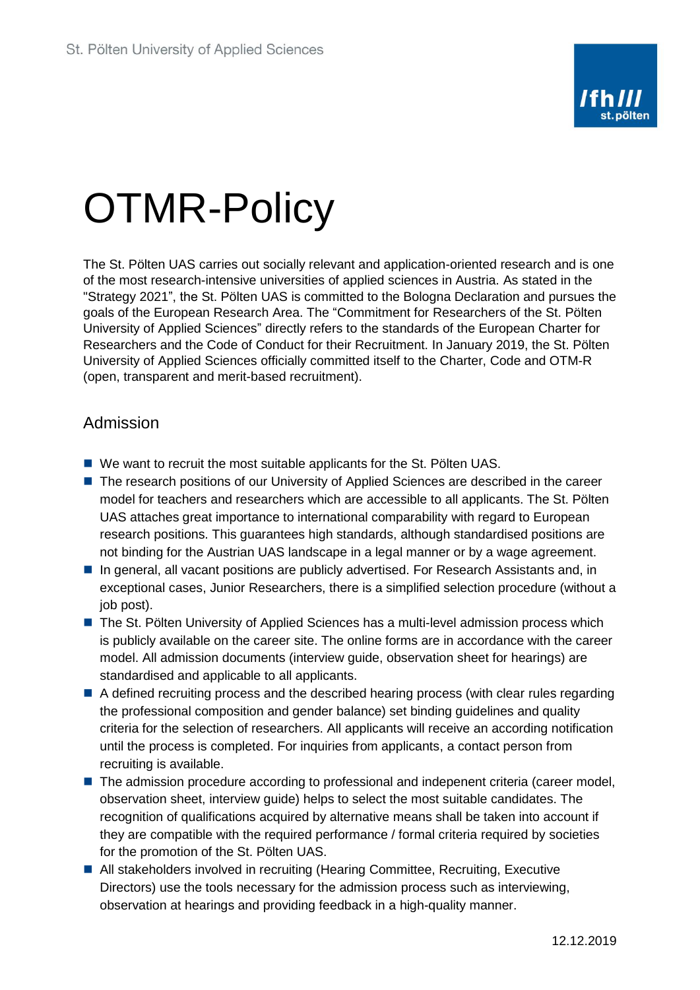

## OTMR-Policy

The St. Pölten UAS carries out socially relevant and application-oriented research and is one of the most research-intensive universities of applied sciences in Austria. As stated in the "Strategy 2021", the St. Pölten UAS is committed to the Bologna Declaration and pursues the goals of the European Research Area. The "Commitment for Researchers of the St. Pölten University of Applied Sciences" directly refers to the standards of the European Charter for Researchers and the Code of Conduct for their Recruitment. In January 2019, the St. Pölten University of Applied Sciences officially committed itself to the Charter, Code and OTM-R (open, transparent and merit-based recruitment).

## Admission

- We want to recruit the most suitable applicants for the St. Pölten UAS.
- The research positions of our University of Applied Sciences are described in the career model for teachers and researchers which are accessible to all applicants. The St. Pölten UAS attaches great importance to international comparability with regard to European research positions. This guarantees high standards, although standardised positions are not binding for the Austrian UAS landscape in a legal manner or by a wage agreement.
- In general, all vacant positions are publicly advertised. For Research Assistants and, in exceptional cases, Junior Researchers, there is a simplified selection procedure (without a job post).
- The St. Pölten University of Applied Sciences has a multi-level admission process which is publicly available on the career site. The online forms are in accordance with the career model. All admission documents (interview guide, observation sheet for hearings) are standardised and applicable to all applicants.
- A defined recruiting process and the described hearing process (with clear rules regarding the professional composition and gender balance) set binding guidelines and quality criteria for the selection of researchers. All applicants will receive an according notification until the process is completed. For inquiries from applicants, a contact person from recruiting is available.
- The admission procedure according to professional and indepenent criteria (career model, observation sheet, interview guide) helps to select the most suitable candidates. The recognition of qualifications acquired by alternative means shall be taken into account if they are compatible with the required performance / formal criteria required by societies for the promotion of the St. Pölten UAS.
- All stakeholders involved in recruiting (Hearing Committee, Recruiting, Executive Directors) use the tools necessary for the admission process such as interviewing, observation at hearings and providing feedback in a high-quality manner.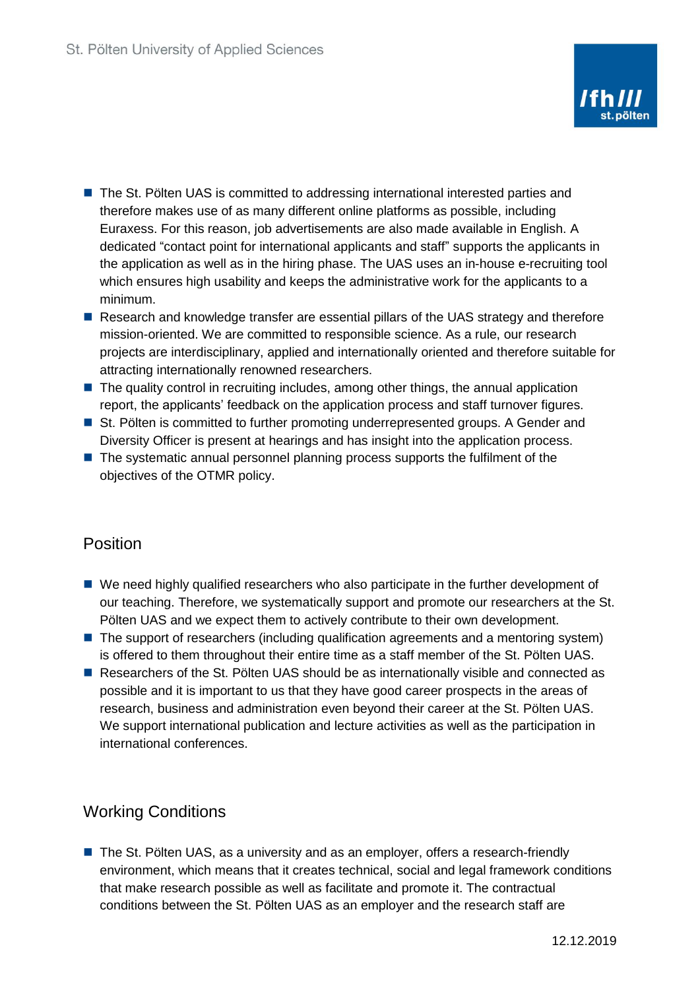- The St. Pölten UAS is committed to addressing international interested parties and therefore makes use of as many different online platforms as possible, including Euraxess. For this reason, job advertisements are also made available in English. A dedicated "contact point for international applicants and staff" supports the applicants in the application as well as in the hiring phase. The UAS uses an in-house e-recruiting tool which ensures high usability and keeps the administrative work for the applicants to a minimum.
- Research and knowledge transfer are essential pillars of the UAS strategy and therefore mission-oriented. We are committed to responsible science. As a rule, our research projects are interdisciplinary, applied and internationally oriented and therefore suitable for attracting internationally renowned researchers.
- The quality control in recruiting includes, among other things, the annual application report, the applicants' feedback on the application process and staff turnover figures.
- St. Pölten is committed to further promoting underrepresented groups. A Gender and Diversity Officer is present at hearings and has insight into the application process.
- The systematic annual personnel planning process supports the fulfilment of the objectives of the OTMR policy.

## Position

- We need highly qualified researchers who also participate in the further development of our teaching. Therefore, we systematically support and promote our researchers at the St. Pölten UAS and we expect them to actively contribute to their own development.
- The support of researchers (including qualification agreements and a mentoring system) is offered to them throughout their entire time as a staff member of the St. Pölten UAS.
- Researchers of the St. Pölten UAS should be as internationally visible and connected as possible and it is important to us that they have good career prospects in the areas of research, business and administration even beyond their career at the St. Pölten UAS. We support international publication and lecture activities as well as the participation in international conferences.

## Working Conditions

■ The St. Pölten UAS, as a university and as an employer, offers a research-friendly environment, which means that it creates technical, social and legal framework conditions that make research possible as well as facilitate and promote it. The contractual conditions between the St. Pölten UAS as an employer and the research staff are